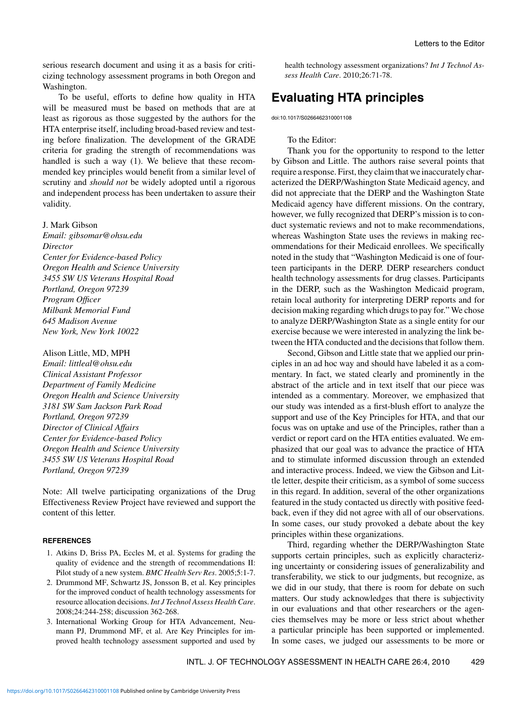serious research document and using it as a basis for criticizing technology assessment programs in both Oregon and Washington.

To be useful, efforts to define how quality in HTA will be measured must be based on methods that are at least as rigorous as those suggested by the authors for the HTA enterprise itself, including broad-based review and testing before finalization. The development of the GRADE criteria for grading the strength of recommendations was handled is such a way (1). We believe that these recommended key principles would benefit from a similar level of scrutiny and *should not* be widely adopted until a rigorous and independent process has been undertaken to assure their validity.

### J. Mark Gibson

*Email: gibsomar@ohsu.edu Director Center for Evidence-based Policy Oregon Health and Science University 3455 SW US Veterans Hospital Road Portland, Oregon 97239 Program Officer Milbank Memorial Fund 645 Madison Avenue New York, New York 10022*

#### Alison Little, MD, MPH

*Email: littleal@ohsu.edu Clinical Assistant Professor Department of Family Medicine Oregon Health and Science University 3181 SW Sam Jackson Park Road Portland, Oregon 97239 Director of Clinical Affairs Center for Evidence-based Policy Oregon Health and Science University 3455 SW US Veterans Hospital Road Portland, Oregon 97239*

Note: All twelve participating organizations of the Drug Effectiveness Review Project have reviewed and support the content of this letter.

#### **REFERENCES**

- 1. Atkins D, Briss PA, Eccles M, et al. Systems for grading the quality of evidence and the strength of recommendations II: Pilot study of a new system. *BMC Health Serv Res*. 2005;5:1-7.
- 2. Drummond MF, Schwartz JS, Jonsson B, et al. Key principles for the improved conduct of health technology assessments for resource allocation decisions. *Int J Technol Assess Health Care*. 2008;24:244-258; discussion 362-268.
- 3. International Working Group for HTA Advancement, Neumann PJ, Drummond MF, et al. Are Key Principles for improved health technology assessment supported and used by

health technology assessment organizations? *Int J Technol Assess Health Care*. 2010;26:71-78.

# **Evaluating HTA principles**

doi:10.1017/S0266462310001108

## To the Editor:

Thank you for the opportunity to respond to the letter by Gibson and Little. The authors raise several points that require a response. First, they claim that we inaccurately characterized the DERP/Washington State Medicaid agency, and did not appreciate that the DERP and the Washington State Medicaid agency have different missions. On the contrary, however, we fully recognized that DERP's mission is to conduct systematic reviews and not to make recommendations, whereas Washington State uses the reviews in making recommendations for their Medicaid enrollees. We specifically noted in the study that "Washington Medicaid is one of fourteen participants in the DERP. DERP researchers conduct health technology assessments for drug classes. Participants in the DERP, such as the Washington Medicaid program, retain local authority for interpreting DERP reports and for decision making regarding which drugs to pay for." We chose to analyze DERP/Washington State as a single entity for our exercise because we were interested in analyzing the link between the HTA conducted and the decisions that follow them.

Second, Gibson and Little state that we applied our principles in an ad hoc way and should have labeled it as a commentary. In fact, we stated clearly and prominently in the abstract of the article and in text itself that our piece was intended as a commentary. Moreover, we emphasized that our study was intended as a first-blush effort to analyze the support and use of the Key Principles for HTA, and that our focus was on uptake and use of the Principles, rather than a verdict or report card on the HTA entities evaluated. We emphasized that our goal was to advance the practice of HTA and to stimulate informed discussion through an extended and interactive process. Indeed, we view the Gibson and Little letter, despite their criticism, as a symbol of some success in this regard. In addition, several of the other organizations featured in the study contacted us directly with positive feedback, even if they did not agree with all of our observations. In some cases, our study provoked a debate about the key principles within these organizations.

Third, regarding whether the DERP/Washington State supports certain principles, such as explicitly characterizing uncertainty or considering issues of generalizability and transferability, we stick to our judgments, but recognize, as we did in our study, that there is room for debate on such matters. Our study acknowledges that there is subjectivity in our evaluations and that other researchers or the agencies themselves may be more or less strict about whether a particular principle has been supported or implemented. In some cases, we judged our assessments to be more or